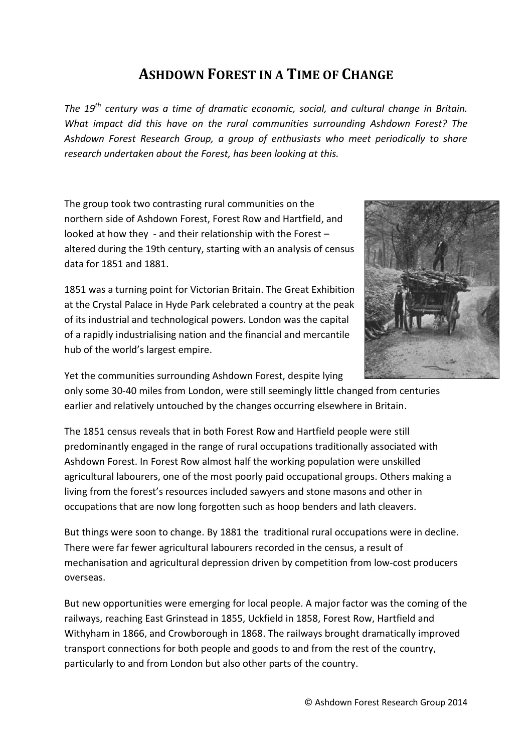## **ASHDOWN FOREST IN A TIME OF CHANGE**

*The 19th century was a time of dramatic economic, social, and cultural change in Britain. What impact did this have on the rural communities surrounding Ashdown Forest? The Ashdown Forest Research Group, a group of enthusiasts who meet periodically to share research undertaken about the Forest, has been looking at this.*

The group took two contrasting rural communities on the northern side of Ashdown Forest, Forest Row and Hartfield, and looked at how they - and their relationship with the Forest – altered during the 19th century, starting with an analysis of census data for 1851 and 1881.

1851 was a turning point for Victorian Britain. The Great Exhibition at the Crystal Palace in Hyde Park celebrated a country at the peak of its industrial and technological powers. London was the capital of a rapidly industrialising nation and the financial and mercantile hub of the world's largest empire.



Yet the communities surrounding Ashdown Forest, despite lying

only some 30-40 miles from London, were still seemingly little changed from centuries earlier and relatively untouched by the changes occurring elsewhere in Britain.

The 1851 census reveals that in both Forest Row and Hartfield people were still predominantly engaged in the range of rural occupations traditionally associated with Ashdown Forest. In Forest Row almost half the working population were unskilled agricultural labourers, one of the most poorly paid occupational groups. Others making a living from the forest's resources included sawyers and stone masons and other in occupations that are now long forgotten such as hoop benders and lath cleavers.

But things were soon to change. By 1881 the traditional rural occupations were in decline. There were far fewer agricultural labourers recorded in the census, a result of mechanisation and agricultural depression driven by competition from low-cost producers overseas.

But new opportunities were emerging for local people. A major factor was the coming of the railways, reaching East Grinstead in 1855, Uckfield in 1858, Forest Row, Hartfield and Withyham in 1866, and Crowborough in 1868. The railways brought dramatically improved transport connections for both people and goods to and from the rest of the country, particularly to and from London but also other parts of the country.